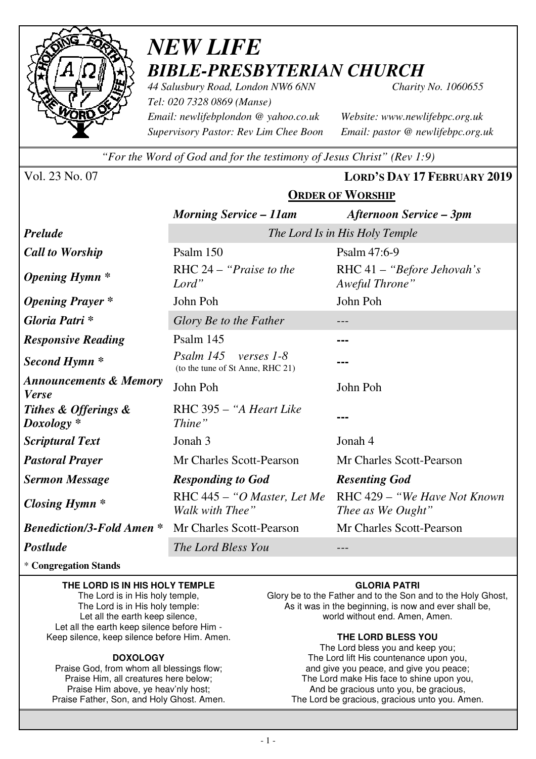

## *NEW LIFE BIBLE-PRESBYTERIAN CHURCH*

*44 Salusbury Road, London NW6 6NN Charity No. 1060655 Tel: 020 7328 0869 (Manse) Email: newlifebplondon @ yahoo.co.uk Website: www.newlifebpc.org.uk Supervisory Pastor: Rev Lim Chee Boon Email: pastor @ newlifebpc.org.uk* 

*"For the Word of God and for the testimony of Jesus Christ" (Rev 1:9)*

**ORDER OF WORSHIP**

Vol. 23 No. 07 **LORD'S DAY 17 FEBRUARY 2019**

|                                                   | <b>Morning Service – 11am</b>                                 | <b>Afternoon Service – 3pm</b>                     |  |  |  |
|---------------------------------------------------|---------------------------------------------------------------|----------------------------------------------------|--|--|--|
| <b>Prelude</b>                                    | The Lord Is in His Holy Temple                                |                                                    |  |  |  |
| <b>Call to Worship</b>                            | Psalm 150                                                     | Psalm 47:6-9                                       |  |  |  |
| <b>Opening Hymn</b> *                             | RHC 24 – "Praise to the<br>Lord"                              | RHC 41 - "Before Jehovah's<br>Aweful Throne"       |  |  |  |
| <b>Opening Prayer</b> *                           | John Poh                                                      | John Poh                                           |  |  |  |
| Gloria Patri *                                    | Glory Be to the Father                                        |                                                    |  |  |  |
| <b>Responsive Reading</b>                         | Psalm 145                                                     |                                                    |  |  |  |
| Second Hymn <sup>*</sup>                          | Psalm 145<br>verses $1-8$<br>(to the tune of St Anne, RHC 21) | John Poh                                           |  |  |  |
| <b>Announcements &amp; Memory</b><br><b>Verse</b> | John Poh                                                      |                                                    |  |  |  |
| Tithes & Offerings &<br>$Doxology *$              | RHC 395 - "A Heart Like<br>Thine"                             |                                                    |  |  |  |
| <b>Scriptural Text</b>                            | Jonah 3                                                       | Jonah 4                                            |  |  |  |
| <b>Pastoral Prayer</b>                            | Mr Charles Scott-Pearson                                      | Mr Charles Scott-Pearson                           |  |  |  |
| <b>Sermon Message</b>                             | <b>Responding to God</b>                                      | <b>Resenting God</b>                               |  |  |  |
| <b>Closing Hymn</b> *                             | RHC 445 - "O Master, Let Me<br>Walk with Thee"                | RHC 429 - "We Have Not Known"<br>Thee as We Ought" |  |  |  |
| <b>Benediction/3-Fold Amen *</b>                  | Mr Charles Scott-Pearson                                      | Mr Charles Scott-Pearson                           |  |  |  |
| Postlude                                          | The Lord Bless You                                            |                                                    |  |  |  |

\* **Congregation Stands** 

**THE LORD IS IN HIS HOLY TEMPLE** 

The Lord is in His holy temple, The Lord is in His holy temple: Let all the earth keep silence, Let all the earth keep silence before Him - Keep silence, keep silence before Him. Amen.

#### **DOXOLOGY**

Praise God, from whom all blessings flow; Praise Him, all creatures here below; Praise Him above, ye heav'nly host; Praise Father, Son, and Holy Ghost. Amen.

#### **GLORIA PATRI**

Glory be to the Father and to the Son and to the Holy Ghost, As it was in the beginning, is now and ever shall be, world without end. Amen, Amen.

#### **THE LORD BLESS YOU**

The Lord bless you and keep you; The Lord lift His countenance upon you, and give you peace, and give you peace; The Lord make His face to shine upon you, And be gracious unto you, be gracious, The Lord be gracious, gracious unto you. Amen.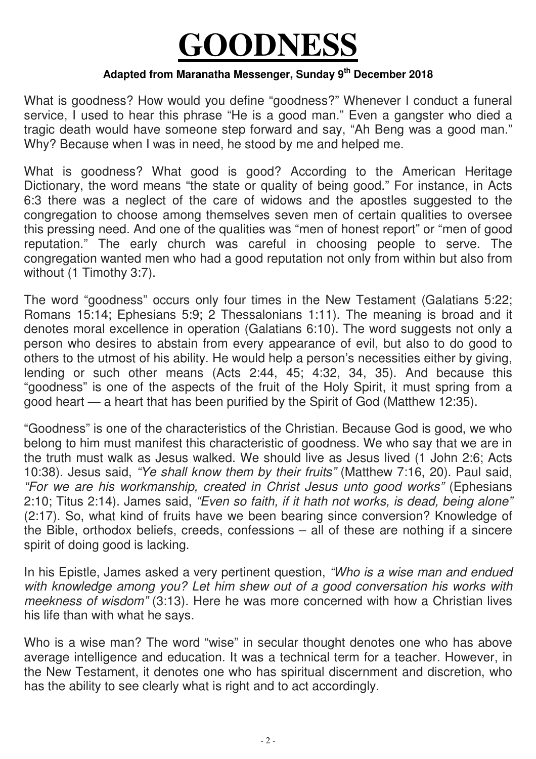# **GOODNESS**

### **Adapted from Maranatha Messenger, Sunday 9th December 2018**

What is goodness? How would you define "goodness?" Whenever I conduct a funeral service, I used to hear this phrase "He is a good man." Even a gangster who died a tragic death would have someone step forward and say, "Ah Beng was a good man." Why? Because when I was in need, he stood by me and helped me.

What is goodness? What good is good? According to the American Heritage Dictionary, the word means "the state or quality of being good." For instance, in Acts 6:3 there was a neglect of the care of widows and the apostles suggested to the congregation to choose among themselves seven men of certain qualities to oversee this pressing need. And one of the qualities was "men of honest report" or "men of good reputation." The early church was careful in choosing people to serve. The congregation wanted men who had a good reputation not only from within but also from without (1 Timothy 3:7).

The word "goodness" occurs only four times in the New Testament (Galatians 5:22; Romans 15:14; Ephesians 5:9; 2 Thessalonians 1:11). The meaning is broad and it denotes moral excellence in operation (Galatians 6:10). The word suggests not only a person who desires to abstain from every appearance of evil, but also to do good to others to the utmost of his ability. He would help a person's necessities either by giving, lending or such other means (Acts 2:44, 45; 4:32, 34, 35). And because this "goodness" is one of the aspects of the fruit of the Holy Spirit, it must spring from a good heart — a heart that has been purified by the Spirit of God (Matthew 12:35).

"Goodness" is one of the characteristics of the Christian. Because God is good, we who belong to him must manifest this characteristic of goodness. We who say that we are in the truth must walk as Jesus walked. We should live as Jesus lived (1 John 2:6; Acts 10:38). Jesus said, *"Ye shall know them by their fruits"* (Matthew 7:16, 20). Paul said, *"For we are his workmanship, created in Christ Jesus unto good works"* (Ephesians 2:10; Titus 2:14). James said, *"Even so faith, if it hath not works, is dead, being alone"* (2:17). So, what kind of fruits have we been bearing since conversion? Knowledge of the Bible, orthodox beliefs, creeds, confessions – all of these are nothing if a sincere spirit of doing good is lacking.

In his Epistle, James asked a very pertinent question, *"Who is a wise man and endued with knowledge among you? Let him shew out of a good conversation his works with*  meekness of wisdom" (3:13). Here he was more concerned with how a Christian lives his life than with what he says.

Who is a wise man? The word "wise" in secular thought denotes one who has above average intelligence and education. It was a technical term for a teacher. However, in the New Testament, it denotes one who has spiritual discernment and discretion, who has the ability to see clearly what is right and to act accordingly.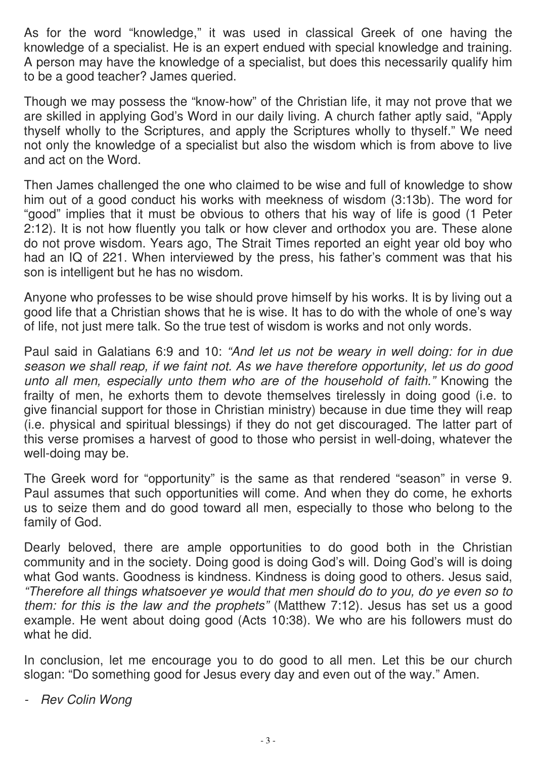As for the word "knowledge," it was used in classical Greek of one having the knowledge of a specialist. He is an expert endued with special knowledge and training. A person may have the knowledge of a specialist, but does this necessarily qualify him to be a good teacher? James queried.

Though we may possess the "know-how" of the Christian life, it may not prove that we are skilled in applying God's Word in our daily living. A church father aptly said, "Apply thyself wholly to the Scriptures, and apply the Scriptures wholly to thyself." We need not only the knowledge of a specialist but also the wisdom which is from above to live and act on the Word.

Then James challenged the one who claimed to be wise and full of knowledge to show him out of a good conduct his works with meekness of wisdom (3:13b). The word for "good" implies that it must be obvious to others that his way of life is good (1 Peter 2:12). It is not how fluently you talk or how clever and orthodox you are. These alone do not prove wisdom. Years ago, The Strait Times reported an eight year old boy who had an IQ of 221. When interviewed by the press, his father's comment was that his son is intelligent but he has no wisdom.

Anyone who professes to be wise should prove himself by his works. It is by living out a good life that a Christian shows that he is wise. It has to do with the whole of one's way of life, not just mere talk. So the true test of wisdom is works and not only words.

Paul said in Galatians 6:9 and 10: *"And let us not be weary in well doing: for in due season we shall reap, if we faint not. As we have therefore opportunity, let us do good unto all men, especially unto them who are of the household of faith."* Knowing the frailty of men, he exhorts them to devote themselves tirelessly in doing good (i.e. to give financial support for those in Christian ministry) because in due time they will reap (i.e. physical and spiritual blessings) if they do not get discouraged. The latter part of this verse promises a harvest of good to those who persist in well-doing, whatever the well-doing may be.

The Greek word for "opportunity" is the same as that rendered "season" in verse 9. Paul assumes that such opportunities will come. And when they do come, he exhorts us to seize them and do good toward all men, especially to those who belong to the family of God.

Dearly beloved, there are ample opportunities to do good both in the Christian community and in the society. Doing good is doing God's will. Doing God's will is doing what God wants. Goodness is kindness. Kindness is doing good to others. Jesus said, *"Therefore all things whatsoever ye would that men should do to you, do ye even so to them: for this is the law and the prophets"* (Matthew 7:12). Jesus has set us a good example. He went about doing good (Acts 10:38). We who are his followers must do what he did.

In conclusion, let me encourage you to do good to all men. Let this be our church slogan: "Do something good for Jesus every day and even out of the way." Amen.

*- Rev Colin Wong*